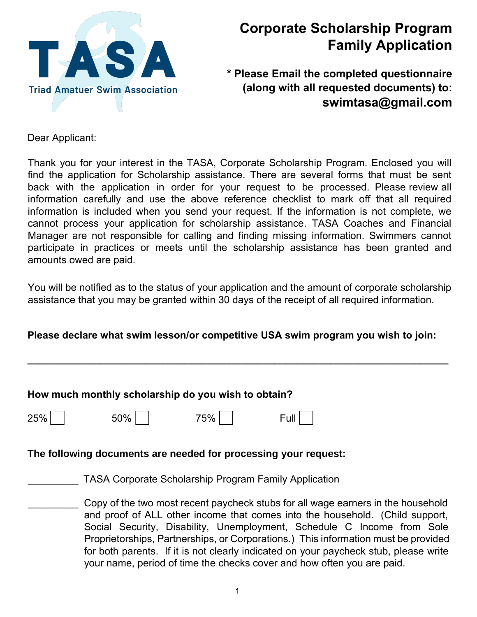

# **Corporate Scholarship Program Family Application**

**\* Please Email the completed questionnaire (along with all requested documents) to: swimtasa@gmail.com** 

Dear Applicant:

Thank you for your interest in the TASA, Corporate Scholarship Program. Enclosed you will find the application for Scholarship assistance. There are several forms that must be sent back with the application in order for your request to be processed. Please review all information carefully and use the above reference checklist to mark off that all required information is included when you send your request. If the information is not complete, we cannot process your application for scholarship assistance. TASA Coaches and Financial Manager are not responsible for calling and finding missing information. Swimmers cannot participate in practices or meets until the scholarship assistance has been granted and amounts owed are paid.

You will be notified as to the status of your application and the amount of corporate scholarship assistance that you may be granted within 30 days of the receipt of all required information.

### **Please declare what swim lesson/or competitive USA swim program you wish to join:**

**\_\_\_\_\_\_\_\_\_\_\_\_\_\_\_\_\_\_\_\_\_\_\_\_\_\_\_\_\_\_\_\_\_\_\_\_\_\_\_\_\_\_\_\_\_\_\_\_\_\_\_\_\_\_\_\_\_\_\_\_\_\_\_\_\_\_\_\_\_\_\_\_\_\_\_**

#### **How much monthly scholarship do you wish to obtain?**

 $250\%$  75% Full

### **The following documents are needed for processing your request:**

\_\_\_\_\_\_\_\_\_ TASA Corporate Scholarship Program Family Application

Copy of the two most recent paycheck stubs for all wage earners in the household and proof of ALL other income that comes into the household. (Child support, Social Security, Disability, Unemployment, Schedule C Income from Sole Proprietorships, Partnerships, or Corporations.) This information must be provided for both parents. If it is not clearly indicated on your paycheck stub, please write your name, period of time the checks cover and how often you are paid.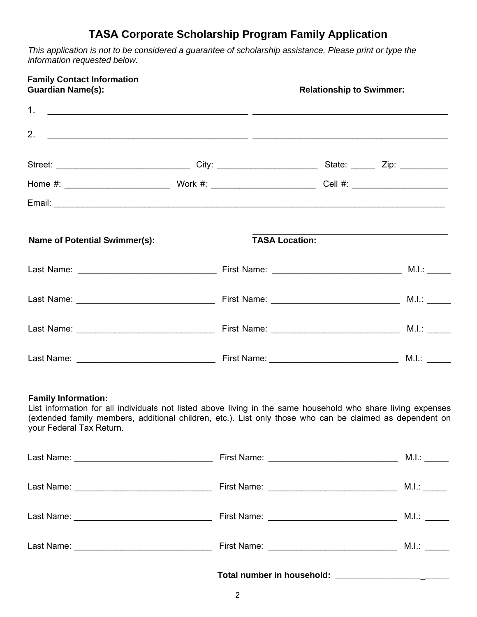## **TASA Corporate Scholarship Program Family Application**

*This application is not to be considered a guarantee of scholarship assistance. Please print or type the information requested below.* 

| <b>Family Contact Information</b><br><b>Guardian Name(s):</b> |                                                                                                                                                                                                                          | <b>Relationship to Swimmer:</b> |  |
|---------------------------------------------------------------|--------------------------------------------------------------------------------------------------------------------------------------------------------------------------------------------------------------------------|---------------------------------|--|
|                                                               |                                                                                                                                                                                                                          |                                 |  |
|                                                               |                                                                                                                                                                                                                          |                                 |  |
|                                                               |                                                                                                                                                                                                                          |                                 |  |
|                                                               |                                                                                                                                                                                                                          |                                 |  |
|                                                               |                                                                                                                                                                                                                          |                                 |  |
| <b>Name of Potential Swimmer(s):</b>                          |                                                                                                                                                                                                                          | <b>TASA Location:</b>           |  |
|                                                               |                                                                                                                                                                                                                          |                                 |  |
|                                                               |                                                                                                                                                                                                                          |                                 |  |
|                                                               |                                                                                                                                                                                                                          |                                 |  |
|                                                               |                                                                                                                                                                                                                          |                                 |  |
| <b>Family Information:</b><br>your Federal Tax Return.        | List information for all individuals not listed above living in the same household who share living expenses<br>(extended family members, additional children, etc.). List only those who can be claimed as dependent on |                                 |  |
|                                                               |                                                                                                                                                                                                                          |                                 |  |
|                                                               |                                                                                                                                                                                                                          |                                 |  |
|                                                               |                                                                                                                                                                                                                          |                                 |  |
|                                                               |                                                                                                                                                                                                                          |                                 |  |
|                                                               |                                                                                                                                                                                                                          |                                 |  |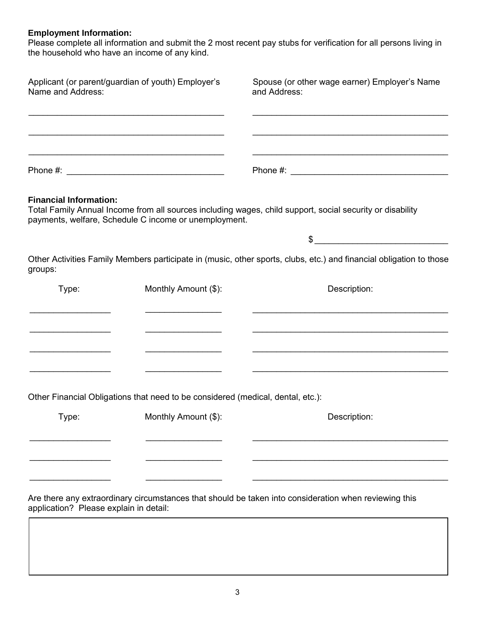#### **Employment Information:**

Please complete all information and submit the 2 most recent pay stubs for verification for all persons living in the household who have an income of any kind.

| Applicant (or parent/guardian of youth) Employer's<br>Name and Address:                                                |                                                                                 | Spouse (or other wage earner) Employer's Name<br>and Address:                                                                                                                                                                                                                                                                                                       |
|------------------------------------------------------------------------------------------------------------------------|---------------------------------------------------------------------------------|---------------------------------------------------------------------------------------------------------------------------------------------------------------------------------------------------------------------------------------------------------------------------------------------------------------------------------------------------------------------|
|                                                                                                                        |                                                                                 |                                                                                                                                                                                                                                                                                                                                                                     |
|                                                                                                                        |                                                                                 |                                                                                                                                                                                                                                                                                                                                                                     |
| <b>Financial Information:</b>                                                                                          | payments, welfare, Schedule C income or unemployment.                           | Total Family Annual Income from all sources including wages, child support, social security or disability                                                                                                                                                                                                                                                           |
|                                                                                                                        |                                                                                 | $\begin{picture}(20,10) \put(0,0){\vector(1,0){100}} \put(15,0){\vector(1,0){100}} \put(15,0){\vector(1,0){100}} \put(15,0){\vector(1,0){100}} \put(15,0){\vector(1,0){100}} \put(15,0){\vector(1,0){100}} \put(15,0){\vector(1,0){100}} \put(15,0){\vector(1,0){100}} \put(15,0){\vector(1,0){100}} \put(15,0){\vector(1,0){100}} \put(15,0){\vector(1,0){100}} \$ |
| groups:                                                                                                                |                                                                                 | Other Activities Family Members participate in (music, other sports, clubs, etc.) and financial obligation to those                                                                                                                                                                                                                                                 |
| Type:                                                                                                                  | Monthly Amount (\$):                                                            | Description:                                                                                                                                                                                                                                                                                                                                                        |
|                                                                                                                        |                                                                                 |                                                                                                                                                                                                                                                                                                                                                                     |
| <u> 1989 - Johann John Stone, mars et al. 1989 - John Stone Barnett, mars et al. 1989 - John Stone Barnett, mars e</u> | <u> 1950 - Johann Barbara, martin a</u>                                         | <u> 1999 - 1999 - 1999 - 1999 - 1999 - 1999 - 1999 - 1999 - 1999 - 1999 - 1999 - 1999 - 1999 - 1999 - 1999 - 199</u>                                                                                                                                                                                                                                                |
|                                                                                                                        |                                                                                 |                                                                                                                                                                                                                                                                                                                                                                     |
|                                                                                                                        | Other Financial Obligations that need to be considered (medical, dental, etc.): |                                                                                                                                                                                                                                                                                                                                                                     |
| Type:                                                                                                                  | Monthly Amount (\$):                                                            | Description:                                                                                                                                                                                                                                                                                                                                                        |
|                                                                                                                        |                                                                                 |                                                                                                                                                                                                                                                                                                                                                                     |
|                                                                                                                        |                                                                                 |                                                                                                                                                                                                                                                                                                                                                                     |
| application? Please explain in detail:                                                                                 |                                                                                 | Are there any extraordinary circumstances that should be taken into consideration when reviewing this                                                                                                                                                                                                                                                               |
|                                                                                                                        |                                                                                 |                                                                                                                                                                                                                                                                                                                                                                     |